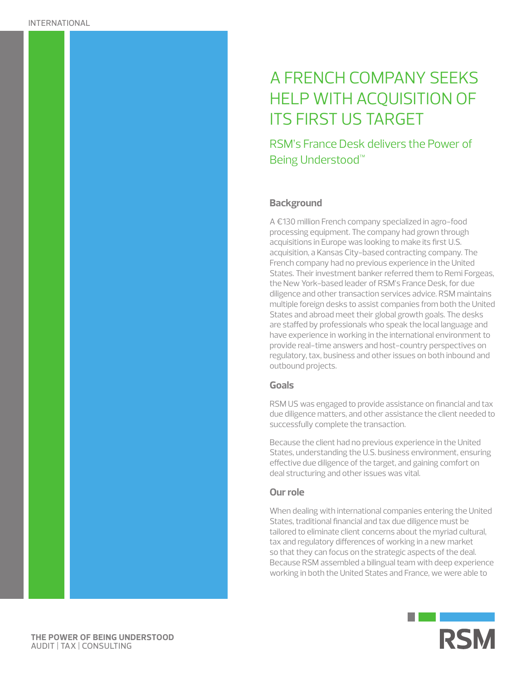# A FRENCH COMPANY SEEKS HELP WITH ACQUISITION OF ITS FIRST US TARGET

RSM's France Desk delivers the Power of Being Understood™

# **Background**

A €130 million French company specialized in agro-food processing equipment. The company had grown through acquisitions in Europe was looking to make its first U.S. acquisition, a Kansas City-based contracting company. The French company had no previous experience in the United States. Their investment banker referred them to Remi Forgeas, the New York-based leader of RSM's France Desk, for due diligence and other transaction services advice. RSM maintains multiple foreign desks to assist companies from both the United States and abroad meet their global growth goals. The desks are staffed by professionals who speak the local language and have experience in working in the international environment to provide real-time answers and host-country perspectives on regulatory, tax, business and other issues on both inbound and outbound projects.

# **Goals**

RSM US was engaged to provide assistance on financial and tax due diligence matters, and other assistance the client needed to successfully complete the transaction.

Because the client had no previous experience in the United States, understanding the U.S. business environment, ensuring effective due diligence of the target, and gaining comfort on deal structuring and other issues was vital.

#### **Our role**

When dealing with international companies entering the United States, traditional financial and tax due diligence must be tailored to eliminate client concerns about the myriad cultural, tax and regulatory differences of working in a new market so that they can focus on the strategic aspects of the deal. Because RSM assembled a bilingual team with deep experience working in both the United States and France, we were able to



**THE POWER OF BEING UNDERSTOOD** AUDIT | TAX | CONSULTING